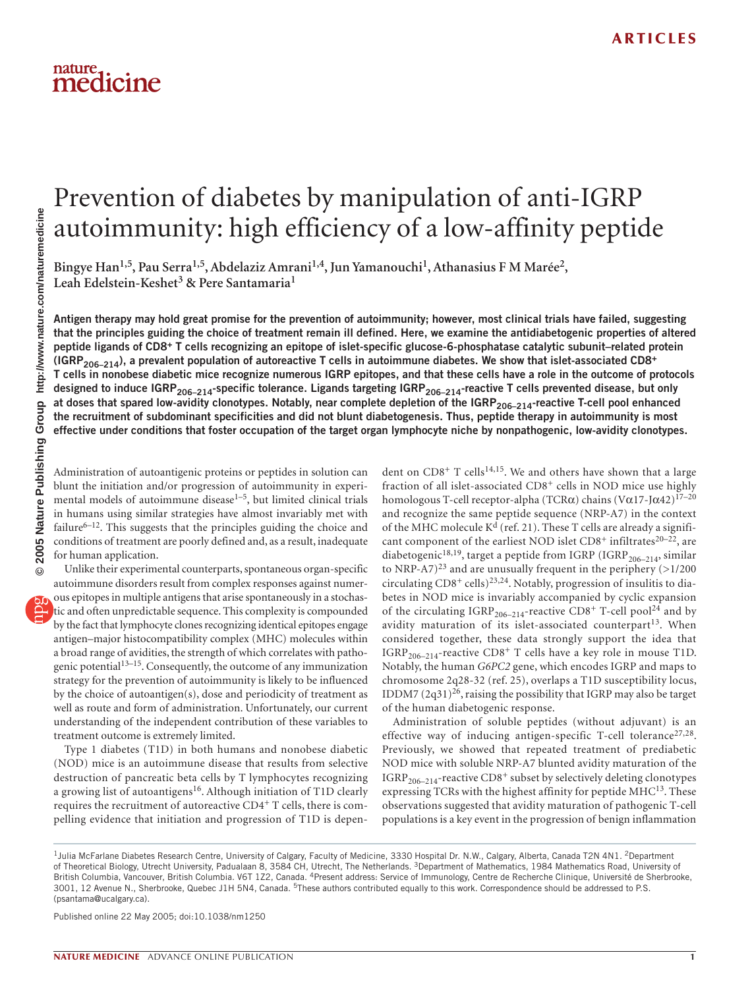# medicine

## Prevention of diabetes by manipulation of anti-IGRP autoimmunity: high efficiency of a low-affinity peptide

Bingye Han<sup>1,5</sup>, Pau Serra<sup>1,5</sup>, Abdelaziz Amrani<sup>1,4</sup>, Jun Yamanouchi<sup>1</sup>, Athanasius F M Marée<sup>2</sup>, **Leah Edelstein-Keshet3 & Pere Santamaria1**

**Antigen therapy may hold great promise for the prevention of autoimmunity; however, most clinical trials have failed, suggesting that the principles guiding the choice of treatment remain ill defined. Here, we examine the antidiabetogenic properties of altered peptide ligands of CD8+ T cells recognizing an epitope of islet-specific glucose-6-phosphatase catalytic subunit–related protein (IGRP206–214), a prevalent population of autoreactive T cells in autoimmune diabetes. We show that islet-associated CD8<sup>+</sup> T cells in nonobese diabetic mice recognize numerous IGRP epitopes, and that these cells have a role in the outcome of protocols**  designed to induce IGRP<sub>206-214</sub>-specific tolerance. Ligands targeting IGRP<sub>206-214</sub>-reactive T cells prevented disease, but only at doses that spared low-avidity clonotypes. Notably, near complete depletion of the IGRP<sub>206–214</sub>-reactive T-cell pool enhanced **the recruitment of subdominant specificities and did not blunt diabetogenesis. Thus, peptide therapy in autoimmunity is most effective under conditions that foster occupation of the target organ lymphocyte niche by nonpathogenic, low-avidity clonotypes.**

Administration of autoantigenic proteins or peptides in solution can blunt the initiation and/or progression of autoimmunity in experimental models of autoimmune disease<sup>1-5</sup>, but limited clinical trials in humans using similar strategies have almost invariably met with failure $6-12$ . This suggests that the principles guiding the choice and conditions of treatment are poorly defined and, as a result, inadequate for human application.

Unlike their experimental counterparts, spontaneous organ-specific autoimmune disorders result from complex responses against numerous epitopes in multiple antigens that arise spontaneously in a stochastic and often unpredictable sequence. This complexity is compounded by the fact that lymphocyte clones recognizing identical epitopes engage antigen–major histocompatibility complex (MHC) molecules within a broad range of avidities, the strength of which correlates with pathogenic potential13–15. Consequently, the outcome of any immunization strategy for the prevention of autoimmunity is likely to be influenced by the choice of autoantigen(s), dose and periodicity of treatment as well as route and form of administration. Unfortunately, our current understanding of the independent contribution of these variables to treatment outcome is extremely limited.

Type 1 diabetes (T1D) in both humans and nonobese diabetic (NOD) mice is an autoimmune disease that results from selective destruction of pancreatic beta cells by T lymphocytes recognizing a growing list of autoantigens<sup>16</sup>. Although initiation of T1D clearly requires the recruitment of autoreactive CD4+ T cells, there is compelling evidence that initiation and progression of T1D is depen-

dent on  $CD8^+$  T cells<sup>14,15</sup>. We and others have shown that a large fraction of all islet-associated CD8<sup>+</sup> cells in NOD mice use highly homologous T-cell receptor-alpha (TCR $\alpha$ ) chains (V $\alpha$ 17-J $\alpha$ 42)<sup>17-20</sup> and recognize the same peptide sequence (NRP-A7) in the context of the MHC molecule  $K<sup>d</sup>$  (ref. 21). These T cells are already a significant component of the earliest NOD islet  $CD8^+$  infiltrates<sup>20–22</sup>, are diabetogenic<sup>18,19</sup>, target a peptide from IGRP (IGRP<sub>206-214</sub>, similar to NRP-A7)<sup>23</sup> and are unusually frequent in the periphery ( $>1/200$ ) circulating  $CD8^+$  cells)<sup>23,24</sup>. Notably, progression of insulitis to diabetes in NOD mice is invariably accompanied by cyclic expansion of the circulating IGRP<sub>206-214</sub>-reactive CD8<sup>+</sup> T-cell pool<sup>24</sup> and by avidity maturation of its islet-associated counterpart<sup>13</sup>. When considered together, these data strongly support the idea that IGRP<sub>206–214</sub>-reactive CD8<sup>+</sup> T cells have a key role in mouse T1D. Notably, the human *G6PC2* gene, which encodes IGRP and maps to chromosome 2q28-32 (ref. 25), overlaps a T1D susceptibility locus, IDDM7  $(2q31)^{26}$ , raising the possibility that IGRP may also be target of the human diabetogenic response.

Administration of soluble peptides (without adjuvant) is an effective way of inducing antigen-specific T-cell tolerance<sup>27,28</sup>. Previously, we showed that repeated treatment of prediabetic NOD mice with soluble NRP-A7 blunted avidity maturation of the  $IGRP<sub>206–214</sub>$ -reactive CD8<sup>+</sup> subset by selectively deleting clonotypes expressing TCRs with the highest affinity for peptide MHC<sup>13</sup>. These observations suggested that avidity maturation of pathogenic T-cell populations is a key event in the progression of benign inflammation

Published online 22 May 2005; doi:10.1038/nm1250

<sup>&</sup>lt;sup>1</sup>Julia McFarlane Diabetes Research Centre, University of Calgary, Faculty of Medicine, 3330 Hospital Dr. N.W., Calgary, Alberta, Canada T2N 4N1. <sup>2</sup>Department of Theoretical Biology, Utrecht University, Padualaan 8, 3584 CH, Utrecht, The Netherlands. <sup>3</sup>Department of Mathematics, 1984 Mathematics Road, University of British Columbia, Vancouver, British Columbia. V6T 1Z2, Canada. 4Present address: Service of Immunology, Centre de Recherche Clinique, Université de Sherbrooke, 3001, 12 Avenue N., Sherbrooke, Quebec J1H 5N4, Canada. <sup>5</sup>These authors contributed equally to this work. Correspondence should be addressed to P.S. (psantama@ucalgary.ca).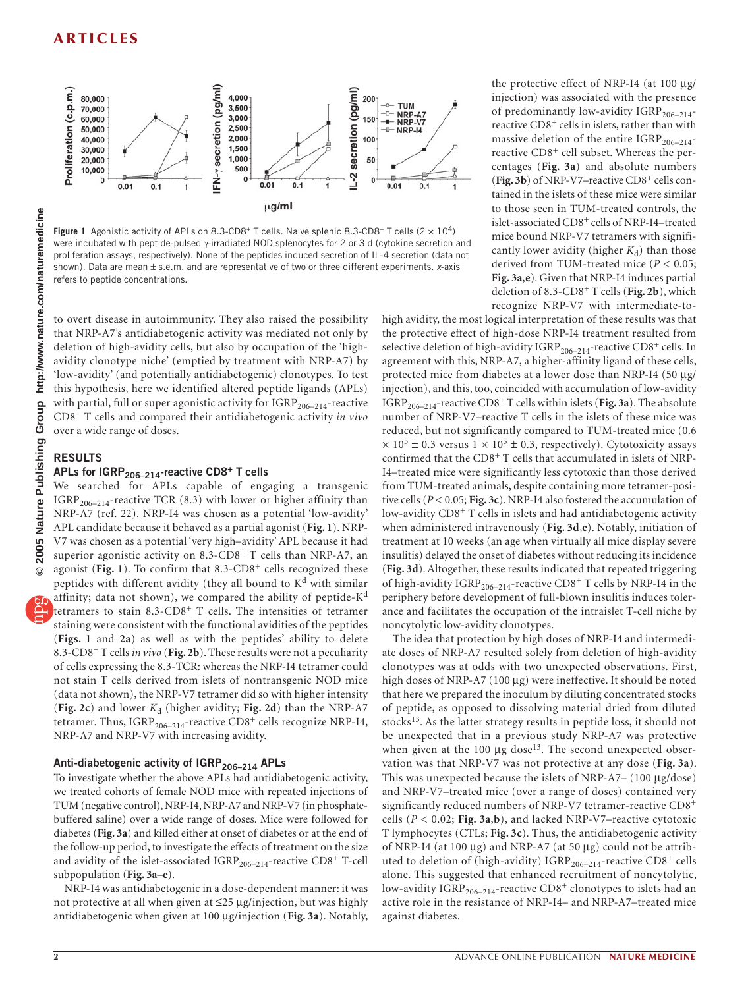

**Figure 1** Agonistic activity of APLs on 8.3-CD8<sup>+</sup> T cells. Naive splenic 8.3-CD8<sup>+</sup> T cells  $(2 \times 10^4)$ were incubated with peptide-pulsed γ-irradiated NOD splenocytes for 2 or 3 d (cytokine secretion and proliferation assays, respectively). None of the peptides induced secretion of IL-4 secretion (data not shown). Data are mean ± s.e.m. and are representative of two or three different experiments. *x*-axis refers to peptide concentrations.

to overt disease in autoimmunity. They also raised the possibility that NRP-A7's antidiabetogenic activity was mediated not only by deletion of high-avidity cells, but also by occupation of the 'highavidity clonotype niche' (emptied by treatment with NRP-A7) by 'low-avidity' (and potentially antidiabetogenic) clonotypes. To test this hypothesis, here we identified altered peptide ligands (APLs) with partial, full or super agonistic activity for  $\mathrm{IGRP}_{206-214}\text{-reactive}$ CD8+ T cells and compared their antidiabetogenic activity *in vivo* over a wide range of doses.

#### **RESULTS**

#### APLs for IGRP<sub>206-214</sub>-reactive CD8<sup>+</sup> T cells

We searched for APLs capable of engaging a transgenic IGRP<sub>206–214</sub>-reactive TCR (8.3) with lower or higher affinity than NRP-A7 (ref. 22). NRP-I4 was chosen as a potential 'low-avidity' APL candidate because it behaved as a partial agonist (**Fig. 1**). NRP-V7 was chosen as a potential 'very high–avidity' APL because it had superior agonistic activity on 8.3-CD8<sup>+</sup> T cells than NRP-A7, an agonist (Fig. 1). To confirm that 8.3-CD8<sup>+</sup> cells recognized these peptides with different avidity (they all bound to  $K<sup>d</sup>$  with similar affinity; data not shown), we compared the ability of peptide-K<sup>d</sup> tetramers to stain 8.3-CD8+ T cells. The intensities of tetramer staining were consistent with the functional avidities of the peptides (**Figs. 1** and **2a**) as well as with the peptides' ability to delete 8.3-CD8+ T cells *in vivo* (**Fig. 2b**). These results were not a peculiarity of cells expressing the 8.3-TCR: whereas the NRP-I4 tetramer could not stain T cells derived from islets of nontransgenic NOD mice (data not shown), the NRP-V7 tetramer did so with higher intensity (Fig. 2c) and lower  $K_d$  (higher avidity; Fig. 2d) than the NRP-A7 tetramer. Thus,  $IGRP_{206-214}$ -reactive  $CD8^+$  cells recognize NRP-I4, NRP-A7 and NRP-V7 with increasing avidity.

#### Anti-diabetogenic activity of IGRP<sub>206-214</sub> APLs

To investigate whether the above APLs had antidiabetogenic activity, we treated cohorts of female NOD mice with repeated injections of TUM (negative control), NRP-I4, NRP-A7 and NRP-V7 (in phosphatebuffered saline) over a wide range of doses. Mice were followed for diabetes (**Fig. 3a**) and killed either at onset of diabetes or at the end of the follow-up period, to investigate the effects of treatment on the size and avidity of the islet-associated  $IGRP_{206-214}$ -reactive  $CD8^+$  T-cell subpopulation (**Fig. 3a**–**e**).

NRP-I4 was antidiabetogenic in a dose-dependent manner: it was not protective at all when given at ≤25 µg/injection, but was highly antidiabetogenic when given at 100 µg/injection (**Fig. 3a**). Notably,

the protective effect of NRP-I4 (at 100 µg/ injection) was associated with the presence of predominantly low-avidity  $IGRP_{206-214}$ reactive CD8<sup>+</sup> cells in islets, rather than with massive deletion of the entire  $IGRP_{206-214}$ reactive CD8<sup>+</sup> cell subset. Whereas the percentages (**Fig. 3a**) and absolute numbers  $(Fig. 3b)$  of NRP-V7–reactive  $CD8<sup>+</sup>$  cells contained in the islets of these mice were similar to those seen in TUM-treated controls, the islet-associated CD8+ cells of NRP-I4–treated mice bound NRP-V7 tetramers with significantly lower avidity (higher  $K_d$ ) than those derived from TUM-treated mice (*P* < 0.05; **Fig. 3a**,**e**). Given that NRP-I4 induces partial deletion of 8.3-CD8+ T cells (**Fig. 2b**), which recognize NRP-V7 with intermediate-to-

high avidity, the most logical interpretation of these results was that the protective effect of high-dose NRP-I4 treatment resulted from selective deletion of high-avidity  $\mathrm{IGRP}_{206-214}$ -reactive  $\mathrm{CD8}^+$  cells. In agreement with this, NRP-A7, a higher-affinity ligand of these cells, protected mice from diabetes at a lower dose than NRP-I4 (50 µg/ injection), and this, too, coincided with accumulation of low-avidity IGRP206–214-reactive CD8+ T cells within islets (**Fig. 3a**). The absolute number of NRP-V7–reactive T cells in the islets of these mice was reduced, but not significantly compared to TUM-treated mice (0.6  $\times$  10<sup>5</sup> ± 0.3 versus 1  $\times$  10<sup>5</sup> ± 0.3, respectively). Cytotoxicity assays confirmed that the CD8+ T cells that accumulated in islets of NRP-I4–treated mice were significantly less cytotoxic than those derived from TUM-treated animals, despite containing more tetramer-positive cells (*P* < 0.05; **Fig. 3c**). NRP-I4 also fostered the accumulation of low-avidity CD8+ T cells in islets and had antidiabetogenic activity when administered intravenously (**Fig. 3d**,**e**). Notably, initiation of treatment at 10 weeks (an age when virtually all mice display severe insulitis) delayed the onset of diabetes without reducing its incidence (**Fig. 3d**). Altogether, these results indicated that repeated triggering of high-avidity  $\mathrm{IGRP}_{206-214}$ -reactive  $\mathrm{CD8^{+}T}$  cells by NRP-I4 in the periphery before development of full-blown insulitis induces tolerance and facilitates the occupation of the intraislet T-cell niche by noncytolytic low-avidity clonotypes.

The idea that protection by high doses of NRP-I4 and intermediate doses of NRP-A7 resulted solely from deletion of high-avidity clonotypes was at odds with two unexpected observations. First, high doses of NRP-A7 (100 µg) were ineffective. It should be noted that here we prepared the inoculum by diluting concentrated stocks of peptide, as opposed to dissolving material dried from diluted stocks<sup>13</sup>. As the latter strategy results in peptide loss, it should not be unexpected that in a previous study NRP-A7 was protective when given at the 100  $\mu$ g dose<sup>13</sup>. The second unexpected observation was that NRP-V7 was not protective at any dose (**Fig. 3a**). This was unexpected because the islets of NRP-A7– (100 µg/dose) and NRP-V7–treated mice (over a range of doses) contained very significantly reduced numbers of NRP-V7 tetramer-reactive CD8<sup>+</sup> cells ( $P < 0.02$ ; Fig. 3a,b), and lacked NRP-V7–reactive cytotoxic T lymphocytes (CTLs; **Fig. 3c**). Thus, the antidiabetogenic activity of NRP-I4 (at 100  $\mu$ g) and NRP-A7 (at 50  $\mu$ g) could not be attributed to deletion of (high-avidity) IGRP<sub>206-214</sub>-reactive CD8<sup>+</sup> cells alone. This suggested that enhanced recruitment of noncytolytic, low-avidity IGRP<sub>206-214</sub>-reactive CD8<sup>+</sup> clonotypes to islets had an active role in the resistance of NRP-I4– and NRP-A7–treated mice against diabetes.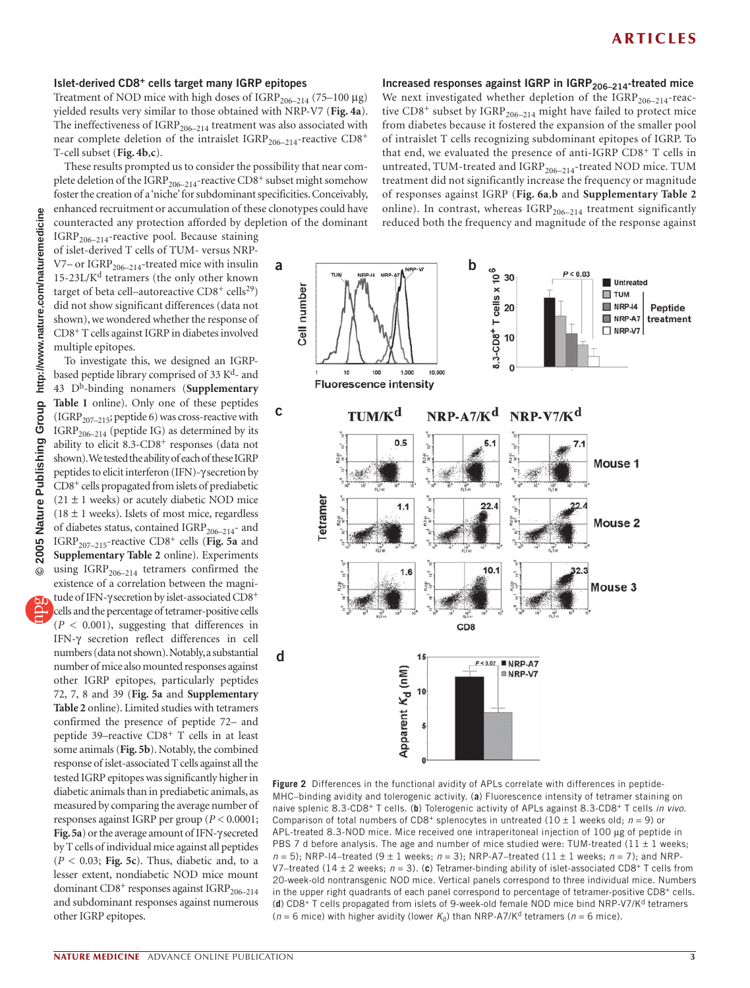#### **Islet-derived CD8+ cells target many IGRP epitopes**

Treatment of NOD mice with high doses of  $IGRP_{206-214}$  (75–100 µg) yielded results very similar to those obtained with NRP-V7 (**Fig. 4a**). The ineffectiveness of  $\mathrm{IGRP}_{206-214}$  treatment was also associated with near complete deletion of the intraislet  $IGRP_{206-214}$ -reactive  $CD8^+$ T-cell subset (**Fig. 4b**,**c**).

These results prompted us to consider the possibility that near complete deletion of the IGRP<sub>206-214</sub>-reactive CD8<sup>+</sup> subset might somehow foster the creation of a 'niche' for subdominant specificities. Conceivably, enhanced recruitment or accumulation of these clonotypes could have counteracted any protection afforded by depletion of the dominant

**a**

**c**

**d**

 $IGRP<sub>206–214</sub>$ -reactive pool. Because staining of islet-derived T cells of TUM- versus NRP-V7– or  $\mathrm{IGRP}_{206-214}$ -treated mice with insulin 15-23L/K<sup>d</sup> tetramers (the only other known target of beta cell-autoreactive  $CD8^+$  cells<sup>29</sup>) did not show significant differences (data not shown), we wondered whether the response of CD8+ T cells against IGRP in diabetes involved multiple epitopes.

To investigate this, we designed an IGRPbased peptide library comprised of 33 K<sup>d</sup>- and 43 Db-binding nonamers (**Supplementary Table 1** online). Only one of these peptides (IGRP<sub>207–215</sub>; peptide 6) was cross-reactive with  $IGRP<sub>206–214</sub>$  (peptide IG) as determined by its ability to elicit 8.3-CD8<sup>+</sup> responses (data not shown). We tested the ability of each of these IGRP peptides to elicit interferon (IFN)-γ secretion by CD8+ cells propagated from islets of prediabetic  $(21 \pm 1$  weeks) or acutely diabetic NOD mice  $(18 \pm 1$  weeks). Islets of most mice, regardless of diabetes status, contained IGRP<sub>206-214</sub>- and IGRP207–215-reactive CD8+ cells (**Fig. 5a** and **Supplementary Table 2** online). Experiments using  $IGRP_{206-214}$  tetramers confirmed the existence of a correlation between the magnitude of IFN-γ secretion by islet-associated CD8+ cells and the percentage of tetramer-positive cells (*P* < 0.001), suggesting that differences in IFN-γ secretion reflect differences in cell numbers (data not shown). Notably, a substantial number of mice also mounted responses against other IGRP epitopes, particularly peptides 72, 7, 8 and 39 (**Fig. 5a** and **Supplementary Table 2** online). Limited studies with tetramers confirmed the presence of peptide 72– and peptide 39–reactive CD8+ T cells in at least some animals (**Fig. 5b**). Notably, the combined response of islet-associated T cells against all the tested IGRP epitopes was significantly higher in diabetic animals than in prediabetic animals, as measured by comparing the average number of responses against IGRP per group (*P* < 0.0001; **Fig. 5a**) or the average amount of IFN-γ secreted by T cells of individual mice against all peptides  $(P < 0.03;$  Fig. 5c). Thus, diabetic and, to a lesser extent, nondiabetic NOD mice mount dominant  $CD8^+$  responses against  $IGRP_{206-214}$ and subdominant responses against numerous



Increased responses against IGRP in IGRP<sub>206-214</sub>-treated mice We next investigated whether depletion of the  $IGRP_{206-214}$ -reactive  $CD8^+$  subset by IGRP<sub>206–214</sub> might have failed to protect mice from diabetes because it fostered the expansion of the smaller pool of intraislet T cells recognizing subdominant epitopes of IGRP. To that end, we evaluated the presence of anti-IGRP CD8+ T cells in untreated, TUM-treated and IGRP<sub>206-214</sub>-treated NOD mice. TUM treatment did not significantly increase the frequency or magnitude of responses against IGRP (**Fig. 6a**,**b** and **Supplementary Table 2**



**Figure 2** Differences in the functional avidity of APLs correlate with differences in peptide-MHC–binding avidity and tolerogenic activity. (**a**) Fluorescence intensity of tetramer staining on naive splenic 8.3-CD8+ T cells. (**b**) Tolerogenic activity of APLs against 8.3-CD8+ T cells *in vivo*. Comparison of total numbers of CD8<sup>+</sup> splenocytes in untreated ( $10 \pm 1$  weeks old;  $n = 9$ ) or APL-treated 8.3-NOD mice. Mice received one intraperitoneal injection of 100 µg of peptide in PBS 7 d before analysis. The age and number of mice studied were: TUM-treated (11  $\pm$  1 weeks;  $n = 5$ ; NRP-I4-treated (9  $\pm$  1 weeks;  $n = 3$ ); NRP-A7-treated (11  $\pm$  1 weeks;  $n = 7$ ); and NRP-V7–treated (14  $\pm$  2 weeks;  $n = 3$ ). (c) Tetramer-binding ability of islet-associated CD8<sup>+</sup> T cells from 20-week-old nontransgenic NOD mice. Vertical panels correspond to three individual mice. Numbers in the upper right quadrants of each panel correspond to percentage of tetramer-positive CD8<sup>+</sup> cells. (**d**) CD8+ T cells propagated from islets of 9-week-old female NOD mice bind NRP-V7/Kd tetramers ( $n = 6$  mice) with higher avidity (lower  $K_d$ ) than NRP-A7/K<sup>d</sup> tetramers ( $n = 6$  mice).

other IGRP epitopes.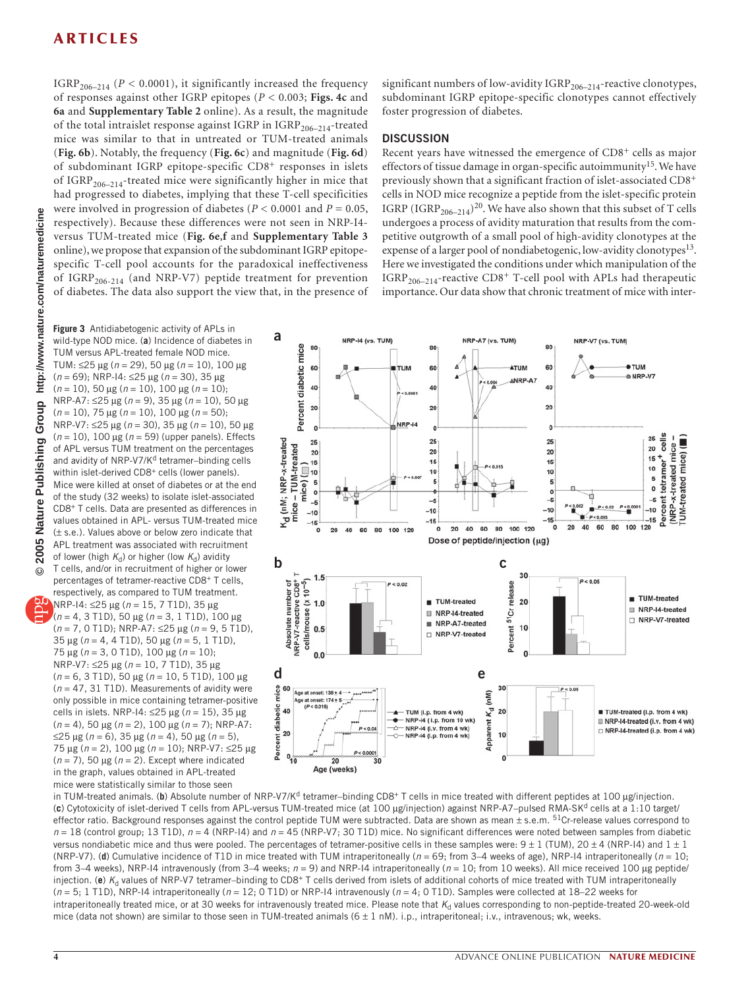IGRP<sub>206–214</sub> ( $P < 0.0001$ ), it significantly increased the frequency of responses against other IGRP epitopes (*P* < 0.003; **Figs. 4c** and **6a** and **Supplementary Table 2** online). As a result, the magnitude of the total intraislet response against IGRP in  $IGRP_{206-214}$ -treated mice was similar to that in untreated or TUM-treated animals (**Fig. 6b**). Notably, the frequency (**Fig. 6c**) and magnitude (**Fig. 6d**) of subdominant IGRP epitope-specific CD8<sup>+</sup> responses in islets of  $IGRP<sub>206–214</sub>$ -treated mice were significantly higher in mice that had progressed to diabetes, implying that these T-cell specificities were involved in progression of diabetes (*P* < 0.0001 and *P* = 0.05, respectively). Because these differences were not seen in NRP-I4 versus TUM-treated mice (**Fig. 6e**,**f** and **Supplementary Table 3** online), we propose that expansion of the subdominant IGRP epitopespecific T-cell pool accounts for the paradoxical ineffectiveness of IGRP<sub>206-214</sub> (and NRP-V7) peptide treatment for prevention of diabetes. The data also support the view that, in the presence of

**Figure 3** Antidiabetogenic activity of APLs in wild-type NOD mice. (**a**) Incidence of diabetes in TUM versus APL-treated female NOD mice. TUM: ≤25 µg (*n* = 29), 50 µg (*n* = 10), 100 µg (*n* = 69); NRP-I4: ≤25 µg (*n* = 30), 35 µg (*n* = 10), 50 µg (*n* = 10), 100 µg (*n* = 10); NRP-A7: ≤25 µg (*n* = 9), 35 µg (*n* = 10), 50 µg (*n* = 10), 75 µg (*n* = 10), 100 µg (*n* = 50); NRP-V7: ≤25 µg (*n* = 30), 35 µg (*n* = 10), 50 µg (*n* = 10), 100 µg (*n* = 59) (upper panels). Effects of APL versus TUM treatment on the percentages and avidity of NRP-V7/K<sup>d</sup> tetramer-binding cells within islet-derived CD8<sup>+</sup> cells (lower panels). Mice were killed at onset of diabetes or at the end of the study (32 weeks) to isolate islet-associated CD8+ T cells. Data are presented as differences in values obtained in APL- versus TUM-treated mice (± s.e.). Values above or below zero indicate that APL treatment was associated with recruitment of lower (high  $K_d$ ) or higher (low  $K_d$ ) avidity T cells, and/or in recruitment of higher or lower percentages of tetramer-reactive CD8+ T cells, respectively, as compared to TUM treatment.

NRP-I4: ≤25 µg (*n* = 15, 7 T1D), 35 µg (*n* = 4, 3 T1D), 50 µg (*n* = 3, 1 T1D), 100 µg (*n* = 7, 0 T1D); NRP-A7: ≤25 µg (*n* = 9, 5 T1D), 35 µg (*n* = 4, 4 T1D), 50 µg (*n* = 5, 1 T1D), 75 µg (*n* = 3, 0 T1D), 100 µg (*n* = 10); NRP-V7: ≤25 µg (*n* = 10, 7 T1D), 35 µg (*n* = 6, 3 T1D), 50 µg (*n* = 10, 5 T1D), 100 µg (*n* = 47, 31 T1D). Measurements of avidity were only possible in mice containing tetramer-positive cells in islets. NRP-I4: ≤25 µg (*n* = 15), 35 µg (*n* = 4), 50 µg (*n* = 2), 100 µg (*n* = 7); NRP-A7: ≤25 µg (*n* = 6), 35 µg (*n* = 4), 50 µg (*n* = 5), 75 µg (*n* = 2), 100 µg (*n* = 10); NRP-V7: ≤25 µg (*n* = 7), 50 µg (*n* = 2). Except where indicated in the graph, values obtained in APL-treated mice were statistically similar to those seen

significant numbers of low-avidity  $\mathrm{IGRP}_{206-214}$ -reactive clonotypes, subdominant IGRP epitope-specific clonotypes cannot effectively foster progression of diabetes.

#### **DISCUSSION**

Recent years have witnessed the emergence of CD8<sup>+</sup> cells as major effectors of tissue damage in organ-specific autoimmunity<sup>15</sup>. We have previously shown that a significant fraction of islet-associated CD8<sup>+</sup> cells in NOD mice recognize a peptide from the islet-specific protein IGRP (IGRP<sub>206–214</sub>)<sup>20</sup>. We have also shown that this subset of T cells undergoes a process of avidity maturation that results from the competitive outgrowth of a small pool of high-avidity clonotypes at the expense of a larger pool of nondiabetogenic, low-avidity clonotypes<sup>13</sup>. Here we investigated the conditions under which manipulation of the  $IGRP<sub>206–214</sub>$ -reactive  $CD8<sup>+</sup>$  T-cell pool with APLs had therapeutic importance. Our data show that chronic treatment of mice with inter-



in TUM-treated animals. (b) Absolute number of NRP-V7/K<sup>d</sup> tetramer–binding CD8<sup>+</sup> T cells in mice treated with different peptides at 100 µg/injection. (c) Cytotoxicity of islet-derived T cells from APL-versus TUM-treated mice (at 100 µg/injection) against NRP-A7–pulsed RMA-SK<sup>d</sup> cells at a 1:10 target/ effector ratio. Background responses against the control peptide TUM were subtracted. Data are shown as mean  $\pm$  s.e.m.  $51$ Cr-release values correspond to *n* = 18 (control group; 13 T1D), *n* = 4 (NRP-I4) and *n* = 45 (NRP-V7; 30 T1D) mice. No significant differences were noted between samples from diabetic versus nondiabetic mice and thus were pooled. The percentages of tetramer-positive cells in these samples were:  $9 \pm 1$  (TUM),  $20 \pm 4$  (NRP-I4) and  $1 \pm 1$ (NRP-V7). (**d**) Cumulative incidence of T1D in mice treated with TUM intraperitoneally (*n* = 69; from 3–4 weeks of age), NRP-I4 intraperitoneally (*n* = 10; from 3–4 weeks), NRP-I4 intravenously (from 3–4 weeks;  $n = 9$ ) and NRP-I4 intraperitoneally ( $n = 10$ ; from 10 weeks). All mice received 100 µg peptide/ injection. (e) K<sub>d</sub> values of NRP-V7 tetramer–binding to CD8<sup>+</sup> T cells derived from islets of additional cohorts of mice treated with TUM intraperitoneally (*n* = 5; 1 T1D), NRP-I4 intraperitoneally (*n* = 12; 0 T1D) or NRP-I4 intravenously (*n* = 4; 0 T1D). Samples were collected at 18–22 weeks for intraperitoneally treated mice, or at 30 weeks for intravenously treated mice. Please note that K<sub>d</sub> values corresponding to non-peptide-treated 20-week-old mice (data not shown) are similar to those seen in TUM-treated animals ( $6 \pm 1$  nM). i.p., intraperitoneal; i.v., intravenous; wk, weeks.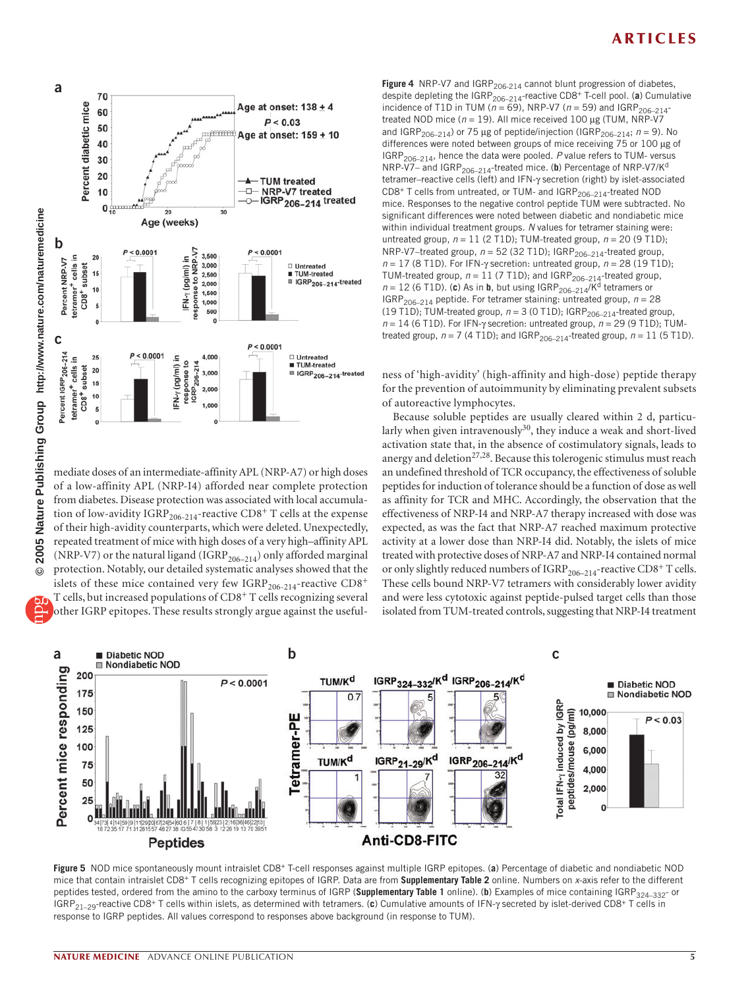

mediate doses of an intermediate-affinity APL (NRP-A7) or high doses of a low-affinity APL (NRP-I4) afforded near complete protection from diabetes. Disease protection was associated with local accumulation of low-avidity IGRP<sub>206-214</sub>-reactive CD8<sup>+</sup> T cells at the expense of their high-avidity counterparts, which were deleted. Unexpectedly, repeated treatment of mice with high doses of a very high–affinity APL (NRP-V7) or the natural ligand (IGRP<sub>206–214</sub>) only afforded marginal protection. Notably, our detailed systematic analyses showed that the islets of these mice contained very few IGRP<sub>206-214</sub>-reactive CD8<sup>+</sup> T cells, but increased populations of CD8<sup>+</sup> T cells recognizing several

other IGRP epitopes. These results strongly argue against the useful-

Figure 4 NRP-V7 and IGRP<sub>206-214</sub> cannot blunt progression of diabetes, despite depleting the  $IGRP_{206-214}$ -reactive CD8<sup>+</sup> T-cell pool. (a) Cumulative incidence of T1D in TUM ( $n = 69$ ), NRP-V7 ( $n = 59$ ) and IGRP<sub>206-214</sub>treated NOD mice (*n* = 19). All mice received 100 µg (TUM, NRP-V7 and IGRP<sub>206–214</sub>) or 75 µg of peptide/injection (IGRP<sub>206–214</sub>;  $n = 9$ ). No differences were noted between groups of mice receiving 75 or 100 µg of IGRP206–214, hence the data were pooled. *P* value refers to TUM- versus NRP-V7- and IGRP<sub>206-214</sub>-treated mice. (b) Percentage of NRP-V7/K<sup>d</sup> tetramer–reactive cells (left) and IFN-γ secretion (right) by islet-associated CD8+ T cells from untreated, or TUM- and IGRP<sub>206-214</sub>-treated NOD mice. Responses to the negative control peptide TUM were subtracted. No significant differences were noted between diabetic and nondiabetic mice within individual treatment groups. *N* values for tetramer staining were: untreated group,  $n = 11$  (2 T1D); TUM-treated group,  $n = 20$  (9 T1D); nnessee group, *n* = 52 (32 T1D); IGRP<sub>206-214</sub>-treated group, *n* = 17 (8 T1D). For IFN-γ secretion: untreated group, *n* = 28 (19 T1D); TUM-treated group,  $n = 11$  (7 T1D); and IGRP<sub>206-214</sub>-treated group,  $n = 12$  (6 T1D). (**c**) As in **b**, but using IGRP<sub>206–214</sub>/Kd tetramers or IGRP<sub>206–214</sub> peptide. For tetramer staining: untreated group,  $n = 28$ (19 T1D); TUM-treated group,  $n = 3$  (0 T1D); IGRP<sub>206-214</sub>-treated group, *n* = 14 (6 T1D). For IFN-γ secretion: untreated group, *n* = 29 (9 T1D); TUMtreated group,  $n = 7$  (4 T1D); and IGRP<sub>206-214</sub>-treated group,  $n = 11$  (5 T1D).

ness of 'high-avidity' (high-affinity and high-dose) peptide therapy for the prevention of autoimmunity by eliminating prevalent subsets of autoreactive lymphocytes.

Because soluble peptides are usually cleared within 2 d, particularly when given intravenously<sup>30</sup>, they induce a weak and short-lived activation state that, in the absence of costimulatory signals, leads to anergy and deletion<sup>27,28</sup>. Because this tolerogenic stimulus must reach an undefined threshold of TCR occupancy, the effectiveness of soluble peptides for induction of tolerance should be a function of dose as well as affinity for TCR and MHC. Accordingly, the observation that the effectiveness of NRP-I4 and NRP-A7 therapy increased with dose was expected, as was the fact that NRP-A7 reached maximum protective activity at a lower dose than NRP-I4 did. Notably, the islets of mice treated with protective doses of NRP-A7 and NRP-I4 contained normal or only slightly reduced numbers of  $IGRP_{206-214}$ -reactive  $CD8^+$  T cells. These cells bound NRP-V7 tetramers with considerably lower avidity and were less cytotoxic against peptide-pulsed target cells than those isolated from TUM-treated controls, suggesting that NRP-I4 treatment



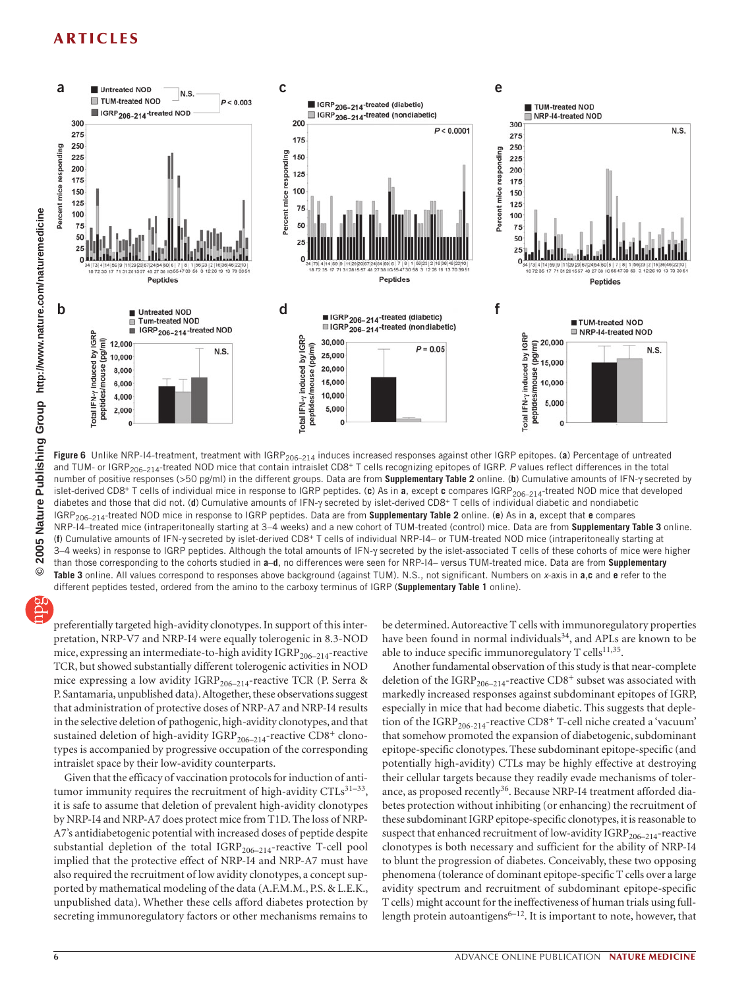

Figure 6 Unlike NRP-I4-treatment, treatment with IGRP<sub>206–214</sub> induces increased responses against other IGRP epitopes. (a) Percentage of untreated and TUM- or IGRP<sub>206-214</sub>-treated NOD mice that contain intraislet CD8<sup>+</sup> T cells recognizing epitopes of IGRP. P values reflect differences in the total number of positive responses (>50 pg/ml) in the different groups. Data are from **Supplementary Table 2** online. (**b**) Cumulative amounts of IFN-γ secreted by islet-derived CD8+ T cells of individual mice in response to IGRP peptides. (**c**) As in **a**, except **c** compares IGRP206–214-treated NOD mice that developed diabetes and those that did not. (**d**) Cumulative amounts of IFN-γ secreted by islet-derived CD8+ T cells of individual diabetic and nondiabetic IGRP206–214-treated NOD mice in response to IGRP peptides. Data are from **Supplementary Table 2** online. (**e**) As in **a**, except that **e** compares NRP-I4–treated mice (intraperitoneally starting at 3–4 weeks) and a new cohort of TUM-treated (control) mice. Data are from **Supplementary Table 3** online. (**f**) Cumulative amounts of IFN-γ secreted by islet-derived CD8+ T cells of individual NRP-I4– or TUM-treated NOD mice (intraperitoneally starting at 3–4 weeks) in response to IGRP peptides. Although the total amounts of IFN-γ secreted by the islet-associated T cells of these cohorts of mice were higher than those corresponding to the cohorts studied in **a**–**d**, no differences were seen for NRP-I4– versus TUM-treated mice. Data are from **Supplementary Table 3** online. All values correspond to responses above background (against TUM). N.S., not significant. Numbers on *x*-axis in **a**,**c** and **e** refer to the different peptides tested, ordered from the amino to the carboxy terminus of IGRP (**Supplementary Table 1** online).

preferentially targeted high-avidity clonotypes. In support of this interpretation, NRP-V7 and NRP-I4 were equally tolerogenic in 8.3-NOD mice, expressing an intermediate-to-high avidity  $\mathrm{IGRP}_{206-214}$ -reactive TCR, but showed substantially different tolerogenic activities in NOD mice expressing a low avidity  $IGRP_{206-214}$ -reactive TCR (P. Serra & P. Santamaria, unpublished data). Altogether, these observations suggest that administration of protective doses of NRP-A7 and NRP-I4 results in the selective deletion of pathogenic, high-avidity clonotypes, and that sustained deletion of high-avidity  $IGRP_{206-214}$ -reactive  $CD8^+$  clonotypes is accompanied by progressive occupation of the corresponding intraislet space by their low-avidity counterparts.

Given that the efficacy of vaccination protocols for induction of antitumor immunity requires the recruitment of high-avidity  $CTLs^{31-33}$ , it is safe to assume that deletion of prevalent high-avidity clonotypes by NRP-I4 and NRP-A7 does protect mice from T1D. The loss of NRP-A7's antidiabetogenic potential with increased doses of peptide despite substantial depletion of the total  $IGRP_{206-214}$ -reactive T-cell pool implied that the protective effect of NRP-I4 and NRP-A7 must have also required the recruitment of low avidity clonotypes, a concept supported by mathematical modeling of the data (A.F.M.M., P.S. & L.E.K., unpublished data). Whether these cells afford diabetes protection by secreting immunoregulatory factors or other mechanisms remains to

be determined. Autoreactive T cells with immunoregulatory properties have been found in normal individuals<sup>34</sup>, and APLs are known to be able to induce specific immunoregulatory  $T$  cells<sup>11,35</sup>.

Another fundamental observation of this study is that near-complete deletion of the IGRP<sub>206–214</sub>-reactive CD8<sup>+</sup> subset was associated with markedly increased responses against subdominant epitopes of IGRP, especially in mice that had become diabetic. This suggests that depletion of the IGRP<sub>206-214</sub>-reactive CD8<sup>+</sup> T-cell niche created a 'vacuum' that somehow promoted the expansion of diabetogenic, subdominant epitope-specific clonotypes. These subdominant epitope-specific (and potentially high-avidity) CTLs may be highly effective at destroying their cellular targets because they readily evade mechanisms of tolerance, as proposed recently<sup>36</sup>. Because NRP-I4 treatment afforded diabetes protection without inhibiting (or enhancing) the recruitment of these subdominant IGRP epitope-specific clonotypes, it is reasonable to suspect that enhanced recruitment of low-avidity  $\mathrm{IGRP}_{206-214}$ -reactive clonotypes is both necessary and sufficient for the ability of NRP-I4 to blunt the progression of diabetes. Conceivably, these two opposing phenomena (tolerance of dominant epitope-specific T cells over a large avidity spectrum and recruitment of subdominant epitope-specific T cells) might account for the ineffectiveness of human trials using fulllength protein autoantigens $6-12$ . It is important to note, however, that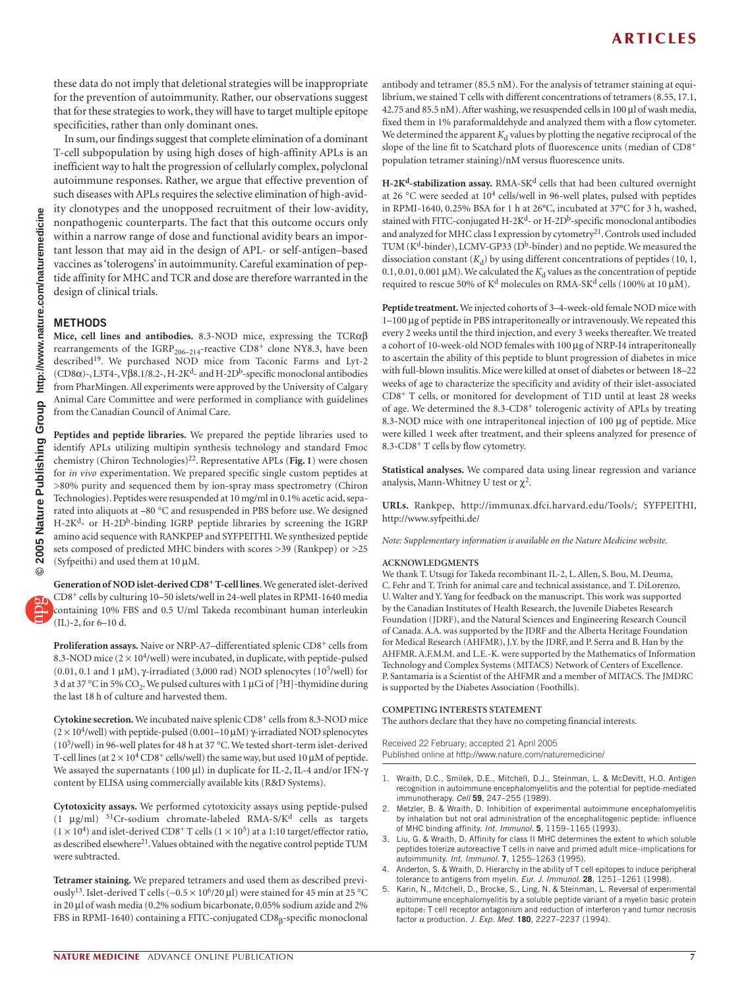these data do not imply that deletional strategies will be inappropriate for the prevention of autoimmunity. Rather, our observations suggest that for these strategies to work, they will have to target multiple epitope specificities, rather than only dominant ones.

In sum, our findings suggest that complete elimination of a dominant T-cell subpopulation by using high doses of high-affinity APLs is an inefficient way to halt the progression of cellularly complex, polyclonal autoimmune responses. Rather, we argue that effective prevention of such diseases with APLs requires the selective elimination of high-avidity clonotypes and the unopposed recruitment of their low-avidity, nonpathogenic counterparts. The fact that this outcome occurs only within a narrow range of dose and functional avidity bears an important lesson that may aid in the design of APL- or self-antigen–based vaccines as 'tolerogens' in autoimmunity. Careful examination of peptide affinity for MHC and TCR and dose are therefore warranted in the design of clinical trials.

#### **METHODS**

**Mice, cell lines and antibodies.** 8.3-NOD mice, expressing the TCRαβ rearrangements of the  $IGRP_{206-214}$ -reactive  $CD8^+$  clone NY8.3, have been described<sup>19</sup>. We purchased NOD mice from Taconic Farms and Lyt-2 ( $CD8\alpha$ )-, L3T4-, V $\beta$ 8.1/8.2-, H-2K<sup>d</sup>- and H-2D<sup>b</sup>-specific monoclonal antibodies from PharMingen. All experiments were approved by the University of Calgary Animal Care Committee and were performed in compliance with guidelines from the Canadian Council of Animal Care.

**Peptides and peptide libraries.** We prepared the peptide libraries used to identify APLs utilizing multipin synthesis technology and standard Fmoc chemistry (Chiron Technologies)<sup>22</sup>. Representative APLs (Fig. 1) were chosen for *in vivo* experimentation. We prepared specific single custom peptides at >80% purity and sequenced them by ion-spray mass spectrometry (Chiron Technologies). Peptides were resuspended at 10 mg/ml in 0.1% acetic acid, separated into aliquots at –80 °C and resuspended in PBS before use. We designed H-2K<sup>d</sup>- or H-2D<sup>b</sup>-binding IGRP peptide libraries by screening the IGRP amino acid sequence with RANKPEP and SYFPEITHI. We synthesized peptide sets composed of predicted MHC binders with scores >39 (Rankpep) or >25 (Syfpeithi) and used them at 10 µM.

**Generation of NOD islet-derived CD8+ T-cell lines**. We generated islet-derived CD8+ cells by culturing 10–50 islets/well in 24-well plates in RPMI-1640 media containing 10% FBS and 0.5 U/ml Takeda recombinant human interleukin (IL)-2, for 6–10 d.

Proliferation assays. Naive or NRP-A7-differentiated splenic CD8<sup>+</sup> cells from 8.3-NOD mice  $(2 \times 10^4$ /well) were incubated, in duplicate, with peptide-pulsed (0.01, 0.1 and 1 μM),  $γ$ -irradiated (3,000 rad) NOD splenocytes (10<sup>5</sup>/well) for 3 d at 37 °C in 5% CO<sub>2</sub>. We pulsed cultures with 1 µCi of [<sup>3</sup>H]-thymidine during the last 18 h of culture and harvested them.

**Cytokine secretion.** We incubated naive splenic CD8+ cells from 8.3-NOD mice ( $2 \times 10^4$ /well) with peptide-pulsed (0.001–10 μM) γ-irradiated NOD splenocytes (10<sup>5</sup>/well) in 96-well plates for 48 h at 37 °C. We tested short-term islet-derived T-cell lines (at  $2 \times 10^4 \text{ CD}8^+$  cells/well) the same way, but used 10 µM of peptide. We assayed the supernatants (100 µl) in duplicate for IL-2, IL-4 and/or IFN-γ content by ELISA using commercially available kits (R&D Systems).

**Cytotoxicity assays.** We performed cytotoxicity assays using peptide-pulsed (1  $\mu$ g/ml) <sup>51</sup>Cr-sodium chromate-labeled RMA-S/K<sup>d</sup> cells as targets  $(1 \times 10^4)$  and islet-derived CD8<sup>+</sup> T cells  $(1 \times 10^5)$  at a 1:10 target/effector ratio, as described elsewhere<sup>21</sup>. Values obtained with the negative control peptide TUM were subtracted.

**Tetramer staining.** We prepared tetramers and used them as described previously<sup>13</sup>. Islet-derived T cells (~0.5 × 10<sup>6</sup>/20 μl) were stained for 45 min at 25 °C in 20 µl of wash media (0.2% sodium bicarbonate, 0.05% sodium azide and 2% FBS in RPMI-1640) containing a FITC-conjugated CD8β-specific monoclonal

antibody and tetramer (85.5 nM). For the analysis of tetramer staining at equilibrium, we stained T cells with different concentrations of tetramers (8.55, 17.1, 42.75 and 85.5 nM). After washing, we resuspended cells in 100 µl of wash media, fixed them in 1% paraformaldehyde and analyzed them with a flow cytometer. We determined the apparent  $K_d$  values by plotting the negative reciprocal of the slope of the line fit to Scatchard plots of fluorescence units (median of CD8<sup>+</sup> population tetramer staining)/nM versus fluorescence units.

H-2K<sup>d</sup>-stabilization assay. RMA-SK<sup>d</sup> cells that had been cultured overnight at 26 °C were seeded at  $10^4$  cells/well in 96-well plates, pulsed with peptides in RPMI-1640, 0.25% BSA for 1 h at 26°C, incubated at 37°C for 3 h, washed, stained with FITC-conjugated H-2K<sup>d</sup>- or H-2D<sup>b</sup>-specific monoclonal antibodies and analyzed for MHC class I expression by cytometry<sup>21</sup>. Controls used included TUM ( $K<sup>d</sup>$ -binder), LCMV-GP33 ( $D<sup>b</sup>$ -binder) and no peptide. We measured the dissociation constant  $(K_d)$  by using different concentrations of peptides (10, 1,  $0.1, 0.01, 0.001 \,\mu\mathrm{M}$  ). We calculated the  $K_\mathrm{d}$  values as the concentration of peptide required to rescue 50% of  $\mathrm{K}^{\mathrm{d}}$  molecules on RMA-SK<sup>d</sup> cells (100% at 10 µM).

**Peptide treatment.** We injected cohorts of 3–4-week-old female NOD mice with 1–100 µg of peptide in PBS intraperitoneally or intravenously. We repeated this every 2 weeks until the third injection, and every 3 weeks thereafter. We treated a cohort of 10-week-old NOD females with 100 µg of NRP-I4 intraperitoneally to ascertain the ability of this peptide to blunt progression of diabetes in mice with full-blown insulitis. Mice were killed at onset of diabetes or between 18–22 weeks of age to characterize the specificity and avidity of their islet-associated CD8+ T cells, or monitored for development of T1D until at least 28 weeks of age. We determined the 8.3-CD8<sup>+</sup> tolerogenic activity of APLs by treating 8.3-NOD mice with one intraperitoneal injection of 100 µg of peptide. Mice were killed 1 week after treatment, and their spleens analyzed for presence of 8.3-CD8+ T cells by flow cytometry.

**Statistical analyses.** We compared data using linear regression and variance analysis, Mann-Whitney U test or  $\chi^2$ .

**URLs.** Rankpep, http://immunax.dfci.harvard.edu/Tools/; SYFPEITHI, http://www.syfpeithi.de/

*Note: Supplementary information is available on the Nature Medicine website.*

#### **ACKNOWLEDGMENTS**

We thank T. Utsugi for Takeda recombinant IL-2, L. Allen, S. Bou, M. Deuma, C. Fehr and T. Trinh for animal care and technical assistance, and T. DiLorenzo, U. Walter and Y. Yang for feedback on the manuscript. This work was supported by the Canadian Institutes of Health Research, the Juvenile Diabetes Research Foundation (JDRF), and the Natural Sciences and Engineering Research Council of Canada. A.A. was supported by the JDRF and the Alberta Heritage Foundation for Medical Research (AHFMR), J.Y. by the JDRF, and P. Serra and B. Han by the AHFMR. A.F.M.M. and L.E.-K. were supported by the Mathematics of Information Technology and Complex Systems (MITACS) Network of Centers of Excellence. P. Santamaria is a Scientist of the AHFMR and a member of MITACS. The JMDRC is supported by the Diabetes Association (Foothills).

#### **COMPETING INTERESTS STATEMENT**

The authors declare that they have no competing financial interests.

Received 22 February; accepted 21 April 2005 Published online at http://www.nature.com/naturemedicine/

- 1. Wraith, D.C., Smilek, D.E., Mitchell, D.J., Steinman, L. & McDevitt, H.O. Antigen recognition in autoimmune encephalomyelitis and the potential for peptide-mediated immunotherapy. *Cell* **59**, 247–255 (1989).
- 2. Metzler, B. & Wraith, D. Inhibition of experimental autoimmune encephalomyelitis by inhalation but not oral administration of the encephalitogenic peptide: influence of MHC binding affinity. *Int. Immunol.* **5**, 1159–1165 (1993).
- Liu, G. & Wraith, D. Affinity for class II MHC determines the extent to which soluble peptides tolerize autoreactive T cells in naive and primed adult mice–implications for autoimmunity. *Int. Immunol.* **7**, 1255–1263 (1995).
- 4. Anderton, S. & Wraith, D. Hierarchy in the ability of T cell epitopes to induce peripheral tolerance to antigens from myelin. *Eur. J. Immunol.* **28**, 1251–1261 (1998).
- 5. Karin, N., Mitchell, D., Brocke, S., Ling, N. & Steinman, L. Reversal of experimental autoimmune encephalomyelitis by a soluble peptide variant of a myelin basic protein epitope: T cell receptor antagonism and reduction of interferon γ and tumor necrosis factor α production. *J. Exp. Med.* **180**, 2227–2237 (1994).